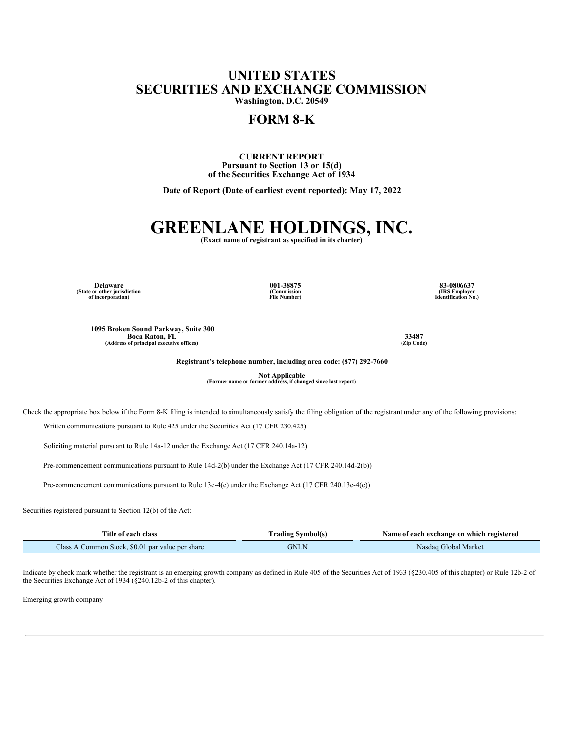## **UNITED STATES SECURITIES AND EXCHANGE COMMISSION**

**Washington, D.C. 20549**

### **FORM 8-K**

#### **CURRENT REPORT Pursuant to Section 13 or 15(d) of the Securities Exchange Act of 1934**

**Date of Report (Date of earliest event reported): May 17, 2022**

# **GREENLANE HOLDINGS, INC. (Exact name of registrant as specified in its charter)**

**Delaware (State or other jurisdiction of incorporation)** **001-38875 (Commission File Number)**

**83-0806637 (IRS Employer Identification No.)**

**1095 Broken Sound Parkway, Suite 300 Boca Raton, FL (Address of principal executive offices)**

**33487 (Zip Code)**

**Registrant's telephone number, including area code: (877) 292-7660**

**Not Applicable (Former name or former address, if changed since last report)**

Check the appropriate box below if the Form 8-K filing is intended to simultaneously satisfy the filing obligation of the registrant under any of the following provisions:

Written communications pursuant to Rule 425 under the Securities Act (17 CFR 230.425)

Soliciting material pursuant to Rule 14a-12 under the Exchange Act (17 CFR 240.14a-12)

Pre-commencement communications pursuant to Rule 14d-2(b) under the Exchange Act (17 CFR 240.14d-2(b))

Pre-commencement communications pursuant to Rule 13e-4(c) under the Exchange Act (17 CFR 240.13e-4(c))

Securities registered pursuant to Section 12(b) of the Act:

| Title of each class                              | <b>Trading Symbol(s)</b> | Name of each exchange on which registered |  |  |  |  |
|--------------------------------------------------|--------------------------|-------------------------------------------|--|--|--|--|
| Class A Common Stock, \$0.01 par value per share | GNLN                     | Nasdaq Global Market                      |  |  |  |  |

Indicate by check mark whether the registrant is an emerging growth company as defined in Rule 405 of the Securities Act of 1933 (§230.405 of this chapter) or Rule 12b-2 of the Securities Exchange Act of 1934 (§240.12b-2 of this chapter).

Emerging growth company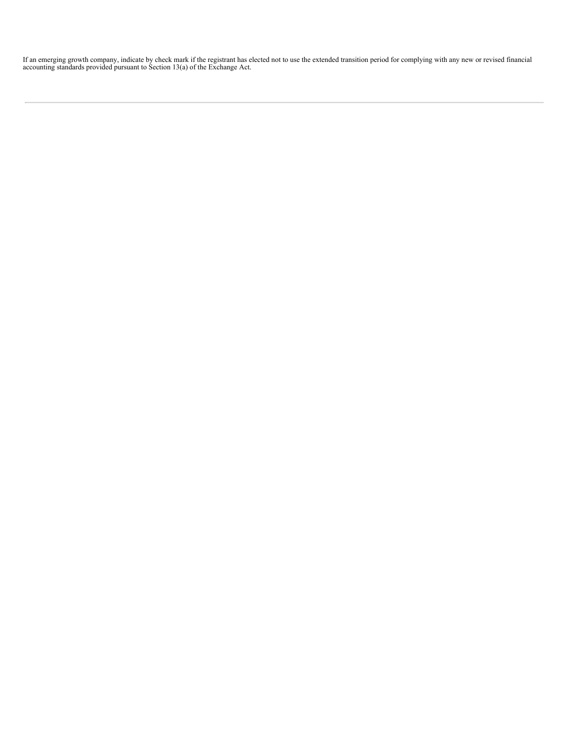If an emerging growth company, indicate by check mark if the registrant has elected not to use the extended transition period for complying with any new or revised financial accounting standards provided pursuant to Sectio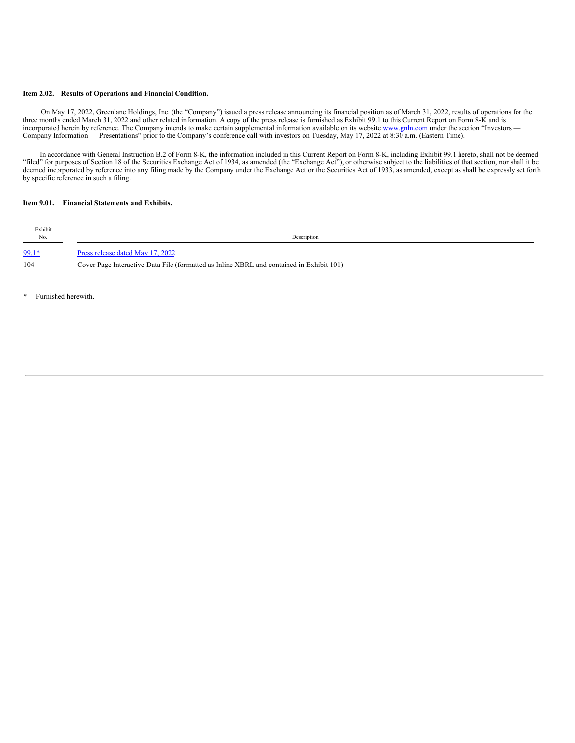#### **Item 2.02. Results of Operations and Financial Condition.**

On May 17, 2022, Greenlane Holdings, Inc. (the "Company") issued a press release announcing its financial position as of March 31, 2022, results of operations for the three months ended March 31, 2022 and other related information. A copy of the press release is furnished as Exhibit 99.1 to this Current Report on Form 8-K and is incorporated herein by reference. The Company intends to make certain supplemental information available on its website www.gnln.com under the section "Investors — Company Information — Presentations" prior to the Company's conference call with investors on Tuesday, May 17, 2022 at 8:30 a.m. (Eastern Time).

In accordance with General Instruction B.2 of Form 8-K, the information included in this Current Report on Form 8-K, including Exhibit 99.1 hereto, shall not be deemed "filed" for purposes of Section 18 of the Securities Exchange Act of 1934, as amended (the "Exchange Act"), or otherwise subject to the liabilities of that section, nor shall it be deemed incorporated by reference into any filing made by the Company under the Exchange Act or the Securities Act of 1933, as amended, except as shall be expressly set forth by specific reference in such a filing.

#### **Item 9.01. Financial Statements and Exhibits.**

| Exhibit<br>No. | Description                                                                              |
|----------------|------------------------------------------------------------------------------------------|
| $99.1*$        | Press release dated May 17, 2022                                                         |
| 104            | Cover Page Interactive Data File (formatted as Inline XBRL and contained in Exhibit 101) |

\* Furnished herewith.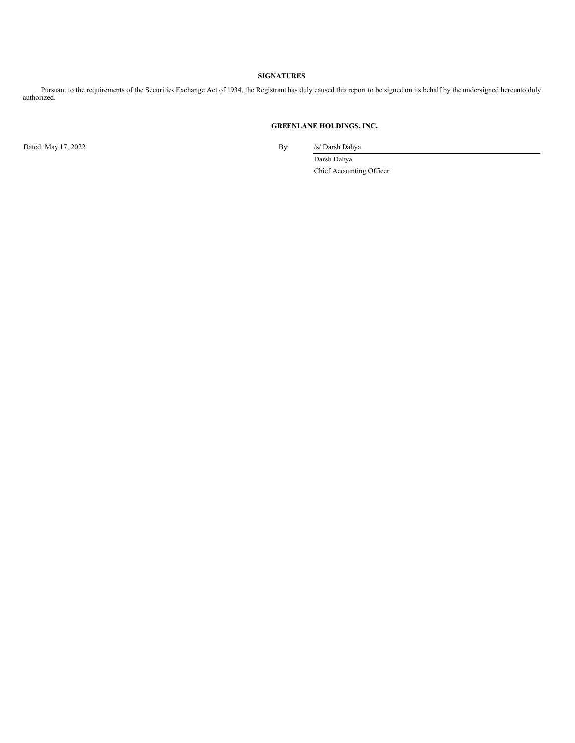#### **SIGNATURES**

Pursuant to the requirements of the Securities Exchange Act of 1934, the Registrant has duly caused this report to be signed on its behalf by the undersigned hereunto duly authorized.

#### **GREENLANE HOLDINGS, INC.**

Dated: May 17, 2022 By: /s/ Darsh Dahya

Darsh Dahya Chief Accounting Officer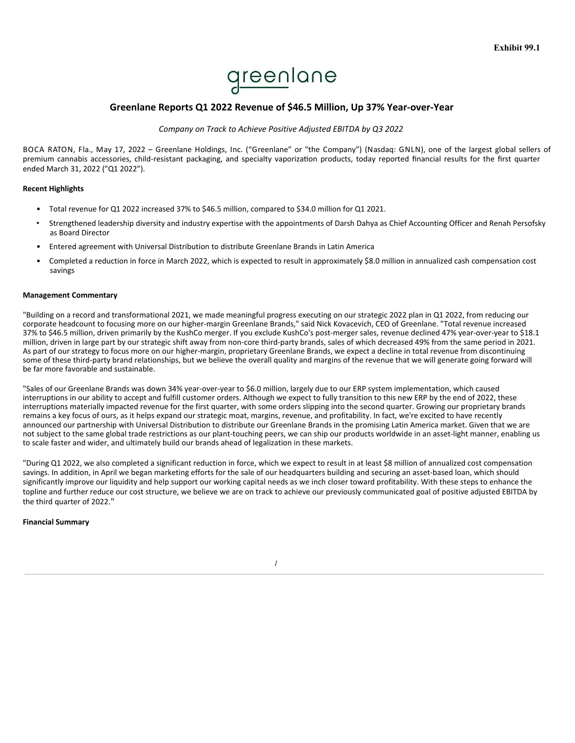

#### **Greenlane Reports Q1 2022 Revenue of \$46.5 Million, Up 37% Year-over-Year**

#### *Company on Track to Achieve Positive Adjusted EBITDA by Q3 2022*

BOCA RATON, Fla., May 17, 2022 – Greenlane Holdings, Inc. ("Greenlane" or "the Company") (Nasdaq: GNLN), one of the largest global sellers of premium cannabis accessories, child-resistant packaging, and specialty vaporization products, today reported financial results for the first quarter ended March 31, 2022 ("Q1 2022").

#### **Recent Highlights**

- Total revenue for Q1 2022 increased 37% to \$46.5 million, compared to \$34.0 million for Q1 2021.
- Strengthened leadership diversity and industry expertise with the appointments of Darsh Dahya as Chief Accounting Officer and Renah Persofsky as Board Director
- Entered agreement with Universal Distribution to distribute Greenlane Brands in Latin America
- Completed a reduction in force in March 2022, which is expected to result in approximately \$8.0 million in annualized cash compensation cost savings

#### **Management Commentary**

"Building on a record and transformational 2021, we made meaningful progress executing on our strategic 2022 plan in Q1 2022, from reducing our corporate headcount to focusing more on our higher-margin Greenlane Brands," said Nick Kovacevich, CEO of Greenlane. "Total revenue increased 37% to \$46.5 million, driven primarily by the KushCo merger. If you exclude KushCo's post-merger sales, revenue declined 47% year-over-year to \$18.1 million, driven in large part by our strategic shift away from non-core third-party brands, sales of which decreased 49% from the same period in 2021. As part of our strategy to focus more on our higher-margin, proprietary Greenlane Brands, we expect a decline in total revenue from discontinuing some of these third-party brand relationships, but we believe the overall quality and margins of the revenue that we will generate going forward will be far more favorable and sustainable.

"Sales of our Greenlane Brands was down 34% year-over-year to \$6.0 million, largely due to our ERP system implementation, which caused interruptions in our ability to accept and fulfill customer orders. Although we expect to fully transition to this new ERP by the end of 2022, these interruptions materially impacted revenue for the first quarter, with some orders slipping into the second quarter. Growing our proprietary brands remains a key focus of ours, as it helps expand our strategic moat, margins, revenue, and profitability. In fact, we're excited to have recently announced our partnership with Universal Distribution to distribute our Greenlane Brands in the promising Latin America market. Given that we are not subject to the same global trade restrictions as our plant-touching peers, we can ship our products worldwide in an asset-light manner, enabling us to scale faster and wider, and ultimately build our brands ahead of legalization in these markets.

"During Q1 2022, we also completed a significant reduction in force, which we expect to result in at least \$8 million of annualized cost compensation savings. In addition, in April we began marketing efforts for the sale of our headquarters building and securing an asset-based loan, which should significantly improve our liquidity and help support our working capital needs as we inch closer toward profitability. With these steps to enhance the topline and further reduce our cost structure, we believe we are on track to achieve our previously communicated goal of positive adjusted EBITDA by the third quarter of 2022."

#### **Financial Summary**

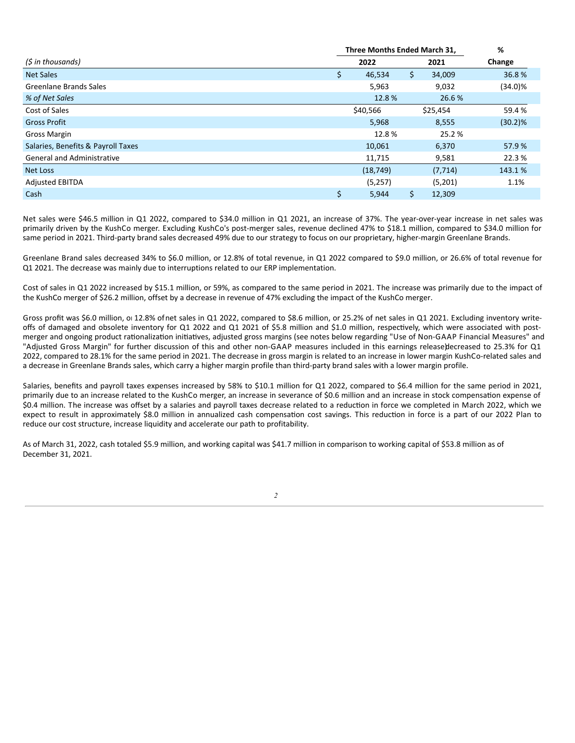|                                    | Three Months Ended March 31, | %   |          |            |
|------------------------------------|------------------------------|-----|----------|------------|
| (\$ in thousands)                  | 2022                         |     | 2021     | Change     |
| <b>Net Sales</b>                   | \$<br>46,534                 | \$. | 34,009   | 36.8%      |
| Greenlane Brands Sales             | 5,963                        |     | 9,032    | $(34.0)\%$ |
| % of Net Sales                     | 12.8%                        |     | 26.6%    |            |
| Cost of Sales                      | \$40,566                     |     | \$25,454 | 59.4%      |
| <b>Gross Profit</b>                | 5,968                        |     | 8,555    | $(30.2)$ % |
| <b>Gross Margin</b>                | 12.8%                        |     | 25.2 %   |            |
| Salaries, Benefits & Payroll Taxes | 10,061                       |     | 6,370    | 57.9%      |
| <b>General and Administrative</b>  | 11,715                       |     | 9,581    | 22.3 %     |
| Net Loss                           | (18, 749)                    |     | (7, 714) | 143.1 %    |
| <b>Adjusted EBITDA</b>             | (5,257)                      |     | (5,201)  | 1.1%       |
| Cash                               | \$<br>5,944                  | \$. | 12,309   |            |

Net sales were \$46.5 million in Q1 2022, compared to \$34.0 million in Q1 2021, an increase of 37%. The year-over-year increase in net sales was primarily driven by the KushCo merger. Excluding KushCo's post-merger sales, revenue declined 47% to \$18.1 million, compared to \$34.0 million for same period in 2021. Third-party brand sales decreased 49% due to our strategy to focus on our proprietary, higher-margin Greenlane Brands.

Greenlane Brand sales decreased 34% to \$6.0 million, or 12.8% of total revenue, in Q1 2022 compared to \$9.0 million, or 26.6% of total revenue for Q1 2021. The decrease was mainly due to interruptions related to our ERP implementation.

Cost of sales in Q1 2022 increased by \$15.1 million, or 59%, as compared to the same period in 2021. The increase was primarily due to the impact of the KushCo merger of \$26.2 million, offset by a decrease in revenue of 47% excluding the impact of the KushCo merger.

Gross profit was \$6.0 million, or 12.8% ofnet sales in Q1 2022, compared to \$8.6 million, or 25.2% of net sales in Q1 2021. Excluding inventory writeoffs of damaged and obsolete inventory for Q1 2022 and Q1 2021 of \$5.8 million and \$1.0 million, respectively, which were associated with postmerger and ongoing product rationalization initiatives, adjusted gross margins (see notes below regarding "Use of Non-GAAP Financial Measures" and "Adjusted Gross Margin" for further discussion of this and other non-GAAP measures included in this earnings release)decreased to 25.3% for Q1 2022, compared to 28.1% for the same period in 2021. The decrease in gross margin is related to an increase in lower margin KushCo-related sales and a decrease in Greenlane Brands sales, which carry a higher margin profile than third-party brand sales with a lower margin profile.

Salaries, benefits and payroll taxes expenses increased by 58% to \$10.1 million for Q1 2022, compared to \$6.4 million for the same period in 2021, primarily due to an increase related to the KushCo merger, an increase in severance of \$0.6 million and an increase in stock compensation expense of \$0.4 million. The increase was offset by a salaries and payroll taxes decrease related to a reduction in force we completed in March 2022, which we expect to result in approximately \$8.0 million in annualized cash compensation cost savings. This reduction in force is a part of our 2022 Plan to reduce our cost structure, increase liquidity and accelerate our path to profitability.

As of March 31, 2022, cash totaled \$5.9 million, and working capital was \$41.7 million in comparison to working capital of \$53.8 million as of December 31, 2021.

*2*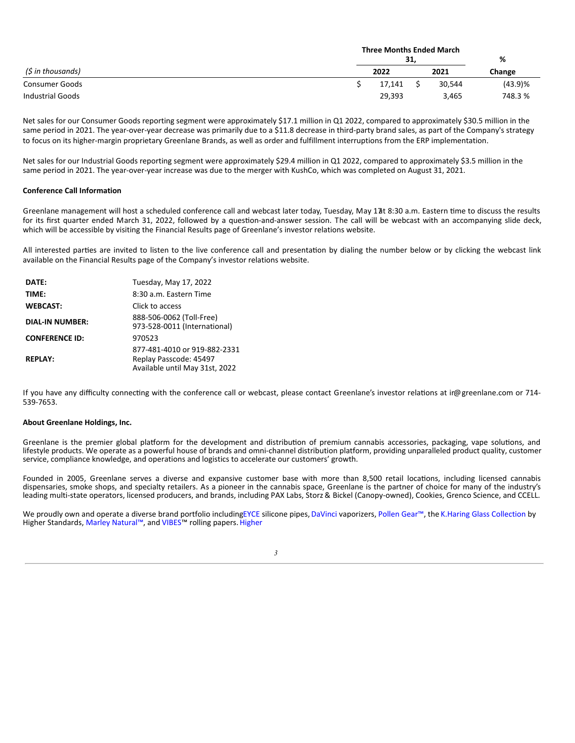|                   | <b>Three Months Ended March</b><br>31, |  |        |            |
|-------------------|----------------------------------------|--|--------|------------|
| (\$ in thousands) | 2022                                   |  | 2021   | Change     |
| Consumer Goods    | 17,141                                 |  | 30.544 | $(43.9)$ % |
| Industrial Goods  | 29,393                                 |  | 3,465  | 748.3 %    |

Net sales for our Consumer Goods reporting segment were approximately \$17.1 million in Q1 2022, compared to approximately \$30.5 million in the same period in 2021. The year-over-year decrease was primarily due to a \$11.8 decrease in third-party brand sales, as part of the Company's strategy to focus on its higher-margin proprietary Greenlane Brands, as well as order and fulfillment interruptions from the ERP implementation.

Net sales for our Industrial Goods reporting segment were approximately \$29.4 million in Q1 2022, compared to approximately \$3.5 million in the same period in 2021. The year-over-year increase was due to the merger with KushCo, which was completed on August 31, 2021.

#### **Conference Call Information**

Greenlane management will host a scheduled conference call and webcast later today, Tuesday, May 17t 8:30 a.m. Eastern time to discuss the results for its first quarter ended March 31, 2022, followed by a question-and-answer session. The call will be webcast with an accompanying slide deck, which will be accessible by visiting the Financial Results page of Greenlane's investor relations website.

All interested parties are invited to listen to the live conference call and presentation by dialing the number below or by clicking the webcast link available on the Financial Results page of the Company's investor relations website.

| DATE:                  | Tuesday, May 17, 2022                                                                    |
|------------------------|------------------------------------------------------------------------------------------|
| TIME:                  | 8:30 a.m. Fastern Time                                                                   |
| <b>WEBCAST:</b>        | Click to access                                                                          |
| <b>DIAL-IN NUMBER:</b> | 888-506-0062 (Toll-Free)<br>973-528-0011 (International)                                 |
| <b>CONFERENCE ID:</b>  | 970523                                                                                   |
| <b>REPLAY:</b>         | 877-481-4010 or 919-882-2331<br>Replay Passcode: 45497<br>Available until May 31st, 2022 |

If you have any difficulty connecting with the conference call or webcast, please contact Greenlane's investor relations at ir@greenlane.com or 714-539-7653.

#### **About Greenlane Holdings, Inc.**

Greenlane is the premier global platform for the development and distribution of premium cannabis accessories, packaging, vape solutions, and lifestyle products. We operate as a powerful house of brands and omni-channel distribution platform, providing unparalleled product quality, customer service, compliance knowledge, and operations and logistics to accelerate our customers' growth.

Founded in 2005, Greenlane serves a diverse and expansive customer base with more than 8,500 retail locations, including licensed cannabis dispensaries, smoke shops, and specialty retailers. As a pioneer in the cannabis space, Greenlane is the partner of choice for many of the industry's leading multi-state operators, licensed producers, and brands, including PAX Labs, Storz & Bickel (Canopy-owned), Cookies, Grenco Science, and CCELL.

We proudly own and operate a diverse brand portfolio includingEYCE silicone pipes, DaVinci vaporizers, Pollen Gear™, the K.Haring Glass Collection by Higher Standards, Marley Natural™, and VIBES™ rolling papers. Higher

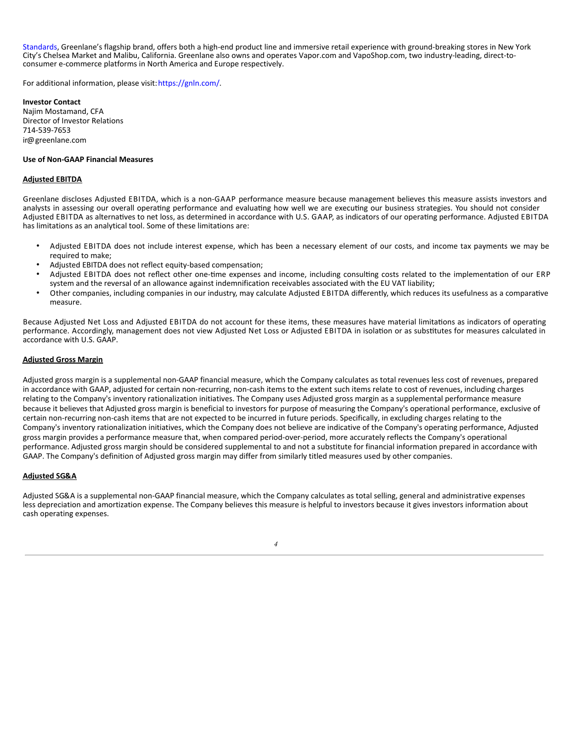<span id="page-7-0"></span>Standards, Greenlane's flagship brand, offers both a high-end product line and immersive retail experience with ground-breaking stores in New York City's Chelsea Market and Malibu, California. Greenlane also owns and operates Vapor.com and VapoShop.com, two industry-leading, direct-toconsumer e-commerce platforms in North America and Europe respectively.

For additional information, please visit: https://gnln.com/.

**Investor Contact** Najim Mostamand, CFA Director of Investor Relations 714-539-7653 ir@greenlane.com

#### **Use of Non-GAAP Financial Measures**

#### **Adjusted EBITDA**

Greenlane discloses Adjusted EBITDA, which is a non-GAAP performance measure because management believes this measure assists investors and analysts in assessing our overall operating performance and evaluating how well we are executing our business strategies. You should not consider Adjusted EBITDA as alternatives to net loss, as determined in accordance with U.S. GAAP, as indicators of our operating performance. Adjusted EBITDA has limitations as an analytical tool. Some of these limitations are:

- Adjusted EBITDA does not include interest expense, which has been a necessary element of our costs, and income tax payments we may be required to make:
- Adjusted EBITDA does not reflect equity-based compensation;
- Adjusted EBITDA does not reflect other one-time expenses and income, including consulting costs related to the implementation of our ERP system and the reversal of an allowance against indemnification receivables associated with the EU VAT liability;
- Other companies, including companies in our industry, may calculate Adjusted EBITDA differently, which reduces its usefulness as a comparative measure.

Because Adjusted Net Loss and Adjusted EBITDA do not account for these items, these measures have material limitations as indicators of operating performance. Accordingly, management does not view Adjusted Net Loss or Adjusted EBITDA in isolation or as substitutes for measures calculated in accordance with U.S. GAAP.

#### **Adjusted Gross Margin**

Adjusted gross margin is a supplemental non-GAAP financial measure, which the Company calculates as total revenues less cost of revenues, prepared in accordance with GAAP, adjusted for certain non-recurring, non-cash items to the extent such items relate to cost of revenues, including charges relating to the Company's inventory rationalization initiatives. The Company uses Adjusted gross margin as a supplemental performance measure because it believes that Adjusted gross margin is beneficial to investors for purpose of measuring the Company's operational performance, exclusive of certain non-recurring non-cash items that are not expected to be incurred in future periods. Specifically, in excluding charges relating to the Company's inventory rationalization initiatives, which the Company does not believe are indicative of the Company's operating performance, Adjusted gross margin provides a performance measure that, when compared period-over-period, more accurately reflects the Company's operational performance. Adjusted gross margin should be considered supplemental to and not a substitute for financial information prepared in accordance with GAAP. The Company's definition of Adjusted gross margin may differ from similarly titled measures used by other companies.

#### **Adjusted SG&A**

Adjusted SG&A is a supplemental non-GAAP financial measure, which the Company calculates as total selling, general and administrative expenses less depreciation and amortization expense. The Company believes this measure is helpful to investors because it gives investors information about cash operating expenses.

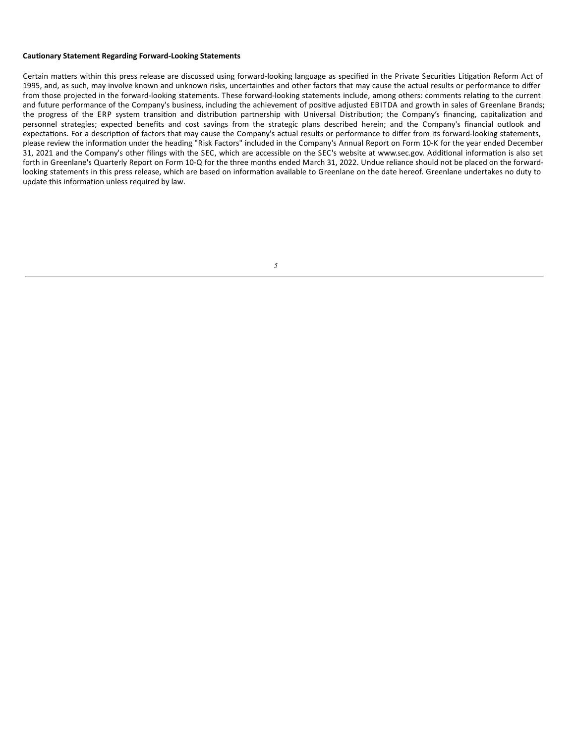#### **Cautionary Statement Regarding Forward-Looking Statements**

Certain matters within this press release are discussed using forward-looking language as specified in the Private Securities Litigation Reform Act of 1995, and, as such, may involve known and unknown risks, uncertainties and other factors that may cause the actual results or performance to differ from those projected in the forward-looking statements. These forward-looking statements include, among others: comments relating to the current and future performance of the Company's business, including the achievement of positive adjusted EBITDA and growth in sales of Greenlane Brands; the progress of the ERP system transition and distribution partnership with Universal Distribution; the Company's financing, capitalization and personnel strategies; expected benefits and cost savings from the strategic plans described herein; and the Company's financial outlook and expectations. For a description of factors that may cause the Company's actual results or performance to differ from its forward-looking statements, please review the information under the heading "Risk Factors" included in the Company's Annual Report on Form 10-K for the year ended December 31, 2021 and the Company's other filings with the SEC, which are accessible on the SEC's website at www.sec.gov. Additional information is also set forth in Greenlane's Quarterly Report on Form 10-Q for the three months ended March 31, 2022. Undue reliance should not be placed on the forwardlooking statements in this press release, which are based on information available to Greenlane on the date hereof. Greenlane undertakes no duty to update this information unless required by law.

| I                 |  |
|-------------------|--|
| ۰,<br>۱<br>$\sim$ |  |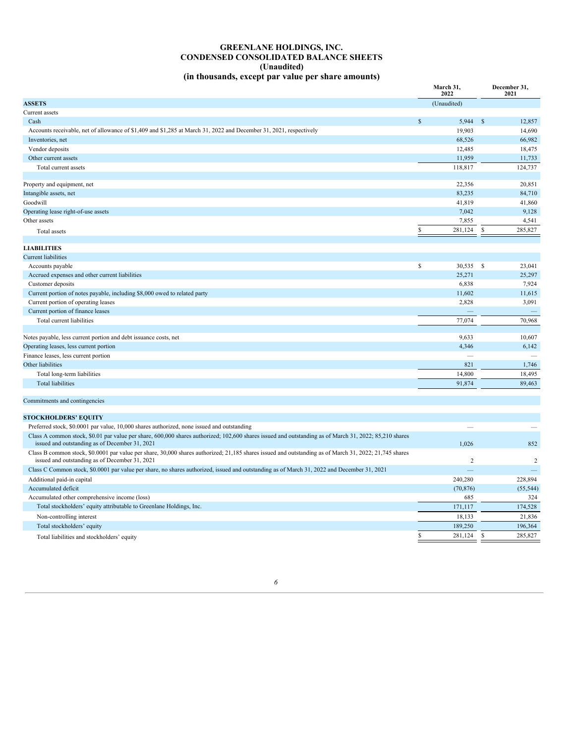#### **GREENLANE HOLDINGS, INC. CONDENSED CONSOLIDATED BALANCE SHEETS (Unaudited) (in thousands, except par value per share amounts)**

| (in thousands, except par value per share amounts)                                                                 |              |                   |              |                      |
|--------------------------------------------------------------------------------------------------------------------|--------------|-------------------|--------------|----------------------|
|                                                                                                                    |              | March 31,<br>2022 |              | December 31,<br>2021 |
| <b>ASSETS</b>                                                                                                      |              | (Unaudited)       |              |                      |
| Current assets                                                                                                     |              |                   |              |                      |
| Cash                                                                                                               | $\mathbb{S}$ | 5,944             | $\mathbb{S}$ | 12,857               |
| Accounts receivable, net of allowance of \$1,409 and \$1,285 at March 31, 2022 and December 31, 2021, respectively |              | 19,903            |              | 14,690               |
| Inventories, net                                                                                                   |              | 68,526            |              | 66,982               |
| Vendor deposits                                                                                                    |              | 12,485            |              | 18,475               |
| Other current assets                                                                                               |              | 11,959            |              | 11,733               |
| Total current assets                                                                                               |              | 118,817           |              | 124,737              |
|                                                                                                                    |              |                   |              |                      |
| Property and equipment, net                                                                                        |              | 22,356            |              | 20,851               |
| Intangible assets, net                                                                                             |              | 83,235            |              | 84,710               |
| Goodwill                                                                                                           |              | 41,819            |              | 41,860               |
| Operating lease right-of-use assets                                                                                |              | 7,042             |              | 9,128                |
| Other assets                                                                                                       |              | 7,855             |              | 4,541                |
| Total assets                                                                                                       |              | 281,124           | \$           | 285,827              |
|                                                                                                                    |              |                   |              |                      |
| <b>LIABILITIES</b>                                                                                                 |              |                   |              |                      |
| <b>Current liabilities</b>                                                                                         |              |                   |              |                      |
| Accounts payable                                                                                                   | \$           | 30,535 \$         |              | 23,041               |
| Accrued expenses and other current liabilities                                                                     |              | 25,271            |              | 25,297               |
| Customer deposits                                                                                                  |              | 6,838             |              | 7,924                |
| Current portion of notes payable, including \$8,000 owed to related party                                          |              | 11,602            |              | 11,615               |
| Current portion of operating leases                                                                                |              | 2,828             |              | 3,091                |
| Current portion of finance leases                                                                                  |              |                   |              |                      |
| Total current liabilities                                                                                          |              | 77,074            |              | 70,968               |
|                                                                                                                    |              |                   |              |                      |

| Notes payable, less current portion and debt issuance costs, net | 9,633                    | 10.607 |
|------------------------------------------------------------------|--------------------------|--------|
| Operating leases, less current portion                           | 4,346                    | 6,142  |
| Finance leases, less current portion                             | $\overline{\phantom{a}}$ |        |
| Other liabilities                                                | 821                      | 1.746  |
| Total long-term liabilities                                      | 14.800                   | 18.495 |
| <b>Total liabilities</b>                                         | 91,874                   | 89.463 |
|                                                                  |                          |        |

#### Commitments and contingencies

| 1.026     | 852       |
|-----------|-----------|
|           |           |
|           |           |
| 240,280   | 228,894   |
| (70, 876) | (55, 544) |
| 685       | 324       |
| 171.117   | 174,528   |
| 18,133    | 21,836    |
| 189,250   | 196,364   |
| 281,124   | 285,827   |
|           |           |

#### *6*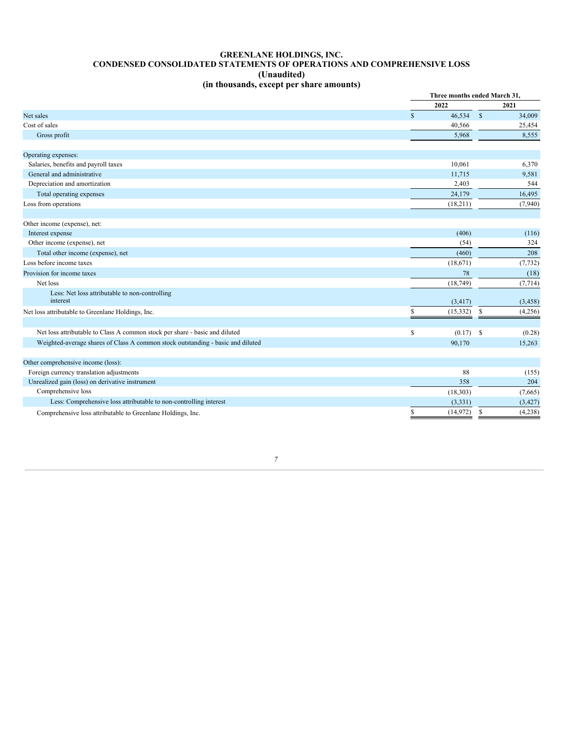#### **GREENLANE HOLDINGS, INC. CONDENSED CONSOLIDATED STATEMENTS OF OPERATIONS AND COMPREHENSIVE LOSS (Unaudited) (in thousands, except per share amounts)**

|                                                                                 |                        | Three months ended March 31, |          |  |
|---------------------------------------------------------------------------------|------------------------|------------------------------|----------|--|
|                                                                                 | 2022                   |                              | 2021     |  |
| Net sales                                                                       | 46,534<br>$\mathbb{S}$ | $\mathbb{S}$                 | 34,009   |  |
| Cost of sales                                                                   | 40,566                 |                              | 25,454   |  |
| Gross profit                                                                    | 5,968                  |                              | 8,555    |  |
| Operating expenses:                                                             |                        |                              |          |  |
| Salaries, benefits and payroll taxes                                            | 10,061                 |                              | 6,370    |  |
| General and administrative                                                      | 11,715                 |                              | 9,581    |  |
| Depreciation and amortization                                                   | 2,403                  |                              | 544      |  |
| Total operating expenses                                                        | 24,179                 |                              | 16,495   |  |
| Loss from operations                                                            | (18,211)               |                              | (7,940)  |  |
| Other income (expense), net:                                                    |                        |                              |          |  |
| Interest expense                                                                | (406)                  |                              | (116)    |  |
| Other income (expense), net                                                     | (54)                   |                              | 324      |  |
| Total other income (expense), net                                               | (460)                  |                              | 208      |  |
| Loss before income taxes                                                        | (18,671)               |                              | (7, 732) |  |
| Provision for income taxes                                                      |                        | 78                           | (18)     |  |
| Net loss                                                                        | (18, 749)              |                              | (7, 714) |  |
| Less: Net loss attributable to non-controlling<br>interest                      | (3, 417)               |                              | (3, 458) |  |
| Net loss attributable to Greenlane Holdings, Inc.                               | \$<br>(15, 332)        | \$                           | (4,256)  |  |
| Net loss attributable to Class A common stock per share - basic and diluted     | \$<br>(0.17)           | - \$                         | (0.28)   |  |
| Weighted-average shares of Class A common stock outstanding - basic and diluted | 90,170                 |                              | 15,263   |  |
| Other comprehensive income (loss):                                              |                        |                              |          |  |
| Foreign currency translation adjustments                                        | 88                     |                              | (155)    |  |
| Unrealized gain (loss) on derivative instrument                                 | 358                    |                              | 204      |  |
| Comprehensive loss                                                              | (18, 303)              |                              | (7,665)  |  |
| Less: Comprehensive loss attributable to non-controlling interest               | (3, 331)               |                              | (3, 427) |  |
| Comprehensive loss attributable to Greenlane Holdings, Inc.                     | \$<br>(14, 972)        | \$                           | (4,238)  |  |